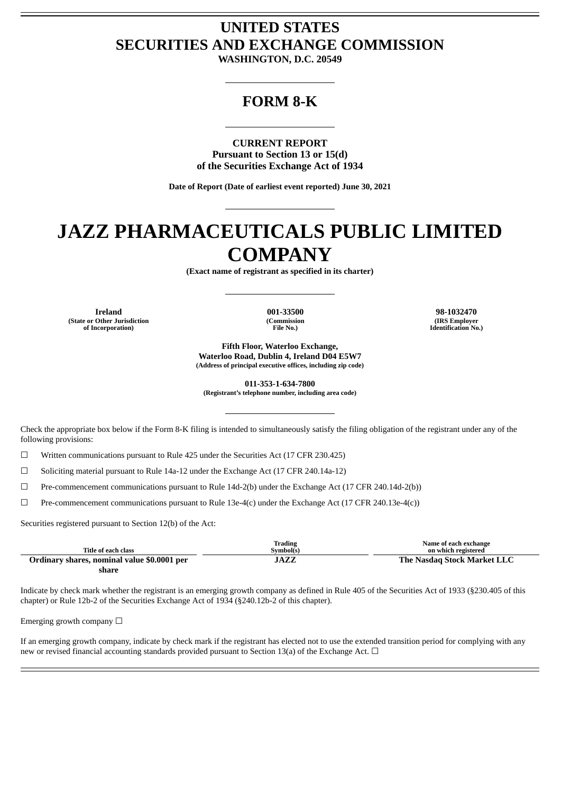# **UNITED STATES SECURITIES AND EXCHANGE COMMISSION**

**WASHINGTON, D.C. 20549**

# **FORM 8-K**

**CURRENT REPORT Pursuant to Section 13 or 15(d) of the Securities Exchange Act of 1934**

**Date of Report (Date of earliest event reported) June 30, 2021**

# **JAZZ PHARMACEUTICALS PUBLIC LIMITED COMPANY**

**(Exact name of registrant as specified in its charter)**

**Ireland 001-33500 98-1032470 (State or Other Jurisdiction of Incorporation)**

**(Commission File No.)**

**(IRS Employer Identification No.)**

**Fifth Floor, Waterloo Exchange, Waterloo Road, Dublin 4, Ireland D04 E5W7 (Address of principal executive offices, including zip code)**

**011-353-1-634-7800 (Registrant's telephone number, including area code)**

Check the appropriate box below if the Form 8-K filing is intended to simultaneously satisfy the filing obligation of the registrant under any of the following provisions:

☐ Written communications pursuant to Rule 425 under the Securities Act (17 CFR 230.425)

 $\Box$  Soliciting material pursuant to Rule 14a-12 under the Exchange Act (17 CFR 240.14a-12)

☐ Pre-commencement communications pursuant to Rule 14d-2(b) under the Exchange Act (17 CFR 240.14d-2(b))

 $\Box$  Pre-commencement communications pursuant to Rule 13e-4(c) under the Exchange Act (17 CFR 240.13e-4(c))

Securities registered pursuant to Section 12(b) of the Act:

| Title of each class                         | Trading<br>Symbol(s) | Name of each exchange<br>on which registered |
|---------------------------------------------|----------------------|----------------------------------------------|
| Ordinary shares, nominal value \$0.0001 per | JAZZ                 | The Nasdag Stock Market LLC                  |
| share                                       |                      |                                              |

Indicate by check mark whether the registrant is an emerging growth company as defined in Rule 405 of the Securities Act of 1933 (§230.405 of this chapter) or Rule 12b-2 of the Securities Exchange Act of 1934 (§240.12b-2 of this chapter).

Emerging growth company  $\Box$ 

If an emerging growth company, indicate by check mark if the registrant has elected not to use the extended transition period for complying with any new or revised financial accounting standards provided pursuant to Section 13(a) of the Exchange Act.  $\Box$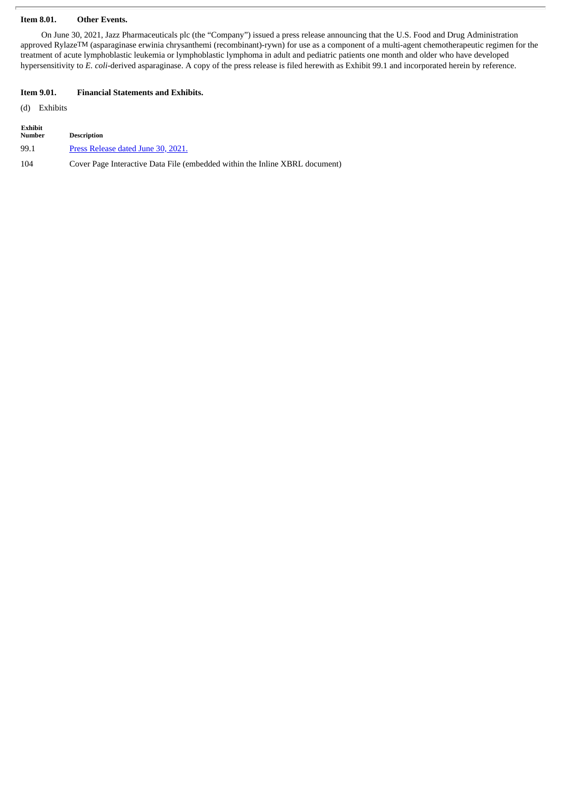### **Item 8.01. Other Events.**

On June 30, 2021, Jazz Pharmaceuticals plc (the "Company") issued a press release announcing that the U.S. Food and Drug Administration approved RylazeTM (asparaginase erwinia chrysanthemi (recombinant)-rywn) for use as a component of a multi-agent chemotherapeutic regimen for the treatment of acute lymphoblastic leukemia or lymphoblastic lymphoma in adult and pediatric patients one month and older who have developed hypersensitivity to *E. coli*-derived asparaginase. A copy of the press release is filed herewith as Exhibit 99.1 and incorporated herein by reference.

#### **Item 9.01. Financial Statements and Exhibits.**

(d) Exhibits

| <b>Exhibit</b><br>Number | <b>Description</b>                                                          |
|--------------------------|-----------------------------------------------------------------------------|
| 99.1                     | Press Release dated June 30, 2021.                                          |
| 104                      | Cover Page Interactive Data File (embedded within the Inline XBRL document) |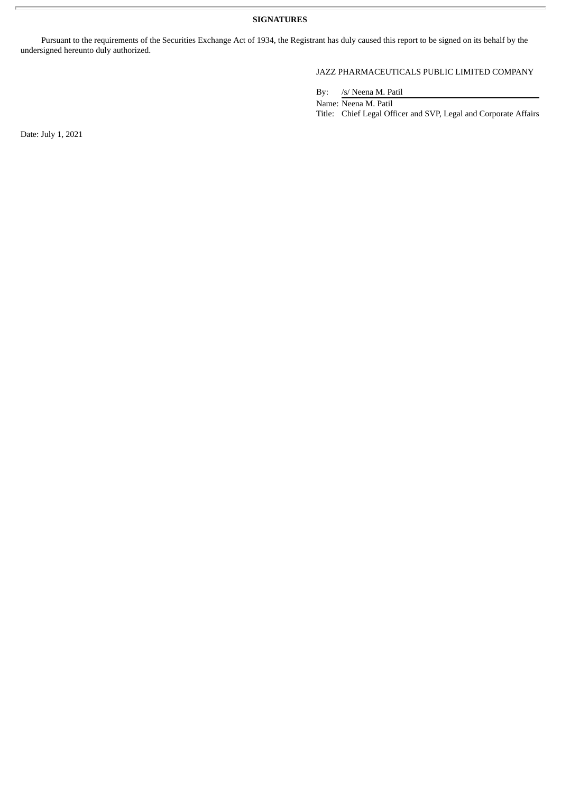**SIGNATURES**

Pursuant to the requirements of the Securities Exchange Act of 1934, the Registrant has duly caused this report to be signed on its behalf by the undersigned hereunto duly authorized.

# JAZZ PHARMACEUTICALS PUBLIC LIMITED COMPANY

By: /s/ Neena M. Patil

Name: Neena M. Patil Title: Chief Legal Officer and SVP, Legal and Corporate Affairs

Date: July 1, 2021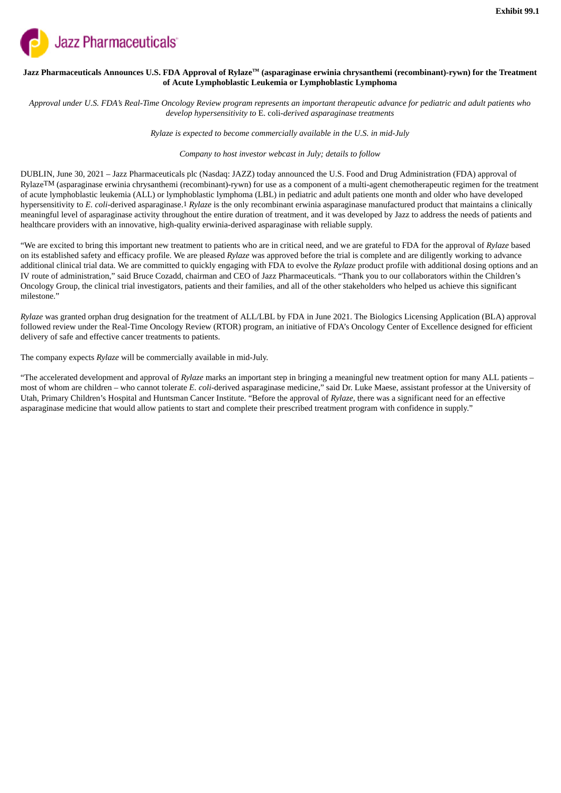<span id="page-3-0"></span>

## Jazz Pharmaceuticals Announces U.S. FDA Approval of Rylaze™ (asparaginase erwinia chrysanthemi (recombinant)-rywn) for the Treatment **of Acute Lymphoblastic Leukemia or Lymphoblastic Lymphoma**

Approval under U.S. FDA's Real-Time Oncology Review program represents an important therapeutic advance for pediatric and adult patients who *develop hypersensitivity to* E. coli*-derived asparaginase treatments*

*Rylaze is expected to become commercially available in the U.S. in mid-July*

### *Company to host investor webcast in July; details to follow*

DUBLIN, June 30, 2021 *–* Jazz Pharmaceuticals plc (Nasdaq: JAZZ) today announced the U.S. Food and Drug Administration (FDA) approval of RylazeTM (asparaginase erwinia chrysanthemi (recombinant)-rywn) for use as a component of a multi-agent chemotherapeutic regimen for the treatment of acute lymphoblastic leukemia (ALL) or lymphoblastic lymphoma (LBL) in pediatric and adult patients one month and older who have developed hypersensitivity to *E. coli*-derived asparaginase.1 *Rylaze* is the only recombinant erwinia asparaginase manufactured product that maintains a clinically meaningful level of asparaginase activity throughout the entire duration of treatment, and it was developed by Jazz to address the needs of patients and healthcare providers with an innovative, high-quality erwinia-derived asparaginase with reliable supply.

"We are excited to bring this important new treatment to patients who are in critical need, and we are grateful to FDA for the approval of *Rylaze* based on its established safety and efficacy profile. We are pleased *Rylaze* was approved before the trial is complete and are diligently working to advance additional clinical trial data. We are committed to quickly engaging with FDA to evolve the *Rylaze* product profile with additional dosing options and an IV route of administration," said Bruce Cozadd, chairman and CEO of Jazz Pharmaceuticals. "Thank you to our collaborators within the Children's Oncology Group, the clinical trial investigators, patients and their families, and all of the other stakeholders who helped us achieve this significant milestone"

*Rylaze* was granted orphan drug designation for the treatment of ALL/LBL by FDA in June 2021. The Biologics Licensing Application (BLA) approval followed review under the Real-Time Oncology Review (RTOR) program, an initiative of FDA's Oncology Center of Excellence designed for efficient delivery of safe and effective cancer treatments to patients.

The company expects *Rylaze* will be commercially available in mid-July.

"The accelerated development and approval of *Rylaze* marks an important step in bringing a meaningful new treatment option for many ALL patients – most of whom are children – who cannot tolerate *E. coli*-derived asparaginase medicine," said Dr. Luke Maese, assistant professor at the University of Utah, Primary Children's Hospital and Huntsman Cancer Institute. "Before the approval of *Rylaze,* there was a significant need for an effective asparaginase medicine that would allow patients to start and complete their prescribed treatment program with confidence in supply."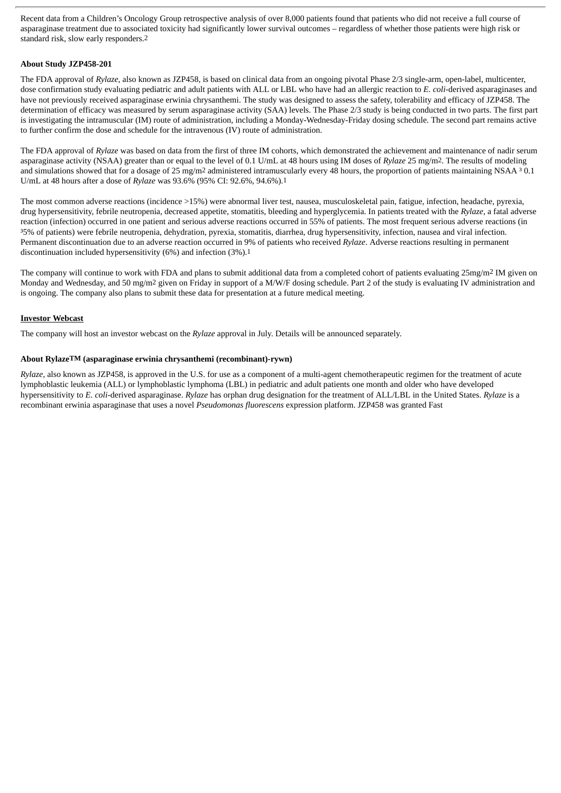Recent data from a Children's Oncology Group retrospective analysis of over 8,000 patients found that patients who did not receive a full course of asparaginase treatment due to associated toxicity had significantly lower survival outcomes – regardless of whether those patients were high risk or standard risk, slow early responders.2

# **About Study JZP458-201**

The FDA approval of *Rylaze*, also known as JZP458, is based on clinical data from an ongoing pivotal Phase 2/3 single-arm, open-label, multicenter, dose confirmation study evaluating pediatric and adult patients with ALL or LBL who have had an allergic reaction to *E. coli*-derived asparaginases and have not previously received asparaginase erwinia chrysanthemi. The study was designed to assess the safety, tolerability and efficacy of JZP458. The determination of efficacy was measured by serum asparaginase activity (SAA) levels. The Phase 2/3 study is being conducted in two parts. The first part is investigating the intramuscular (IM) route of administration, including a Monday-Wednesday-Friday dosing schedule. The second part remains active to further confirm the dose and schedule for the intravenous (IV) route of administration.

The FDA approval of *Rylaze* was based on data from the first of three IM cohorts, which demonstrated the achievement and maintenance of nadir serum asparaginase activity (NSAA) greater than or equal to the level of 0.1 U/mL at 48 hours using IM doses of *Rylaze* 25 mg/m2. The results of modeling and simulations showed that for a dosage of 25 mg/m<sup>2</sup> administered intramuscularly every 48 hours, the proportion of patients maintaining NSAA  $30.1$ U/mL at 48 hours after a dose of *Rylaze* was 93.6% (95% CI: 92.6%, 94.6%).1

The most common adverse reactions (incidence >15%) were abnormal liver test, nausea, musculoskeletal pain, fatigue, infection, headache, pyrexia, drug hypersensitivity, febrile neutropenia, decreased appetite, stomatitis, bleeding and hyperglycemia. In patients treated with the *Rylaze*, a fatal adverse reaction (infection) occurred in one patient and serious adverse reactions occurred in 55% of patients. The most frequent serious adverse reactions (in ³5% of patients) were febrile neutropenia, dehydration, pyrexia, stomatitis, diarrhea, drug hypersensitivity, infection, nausea and viral infection. Permanent discontinuation due to an adverse reaction occurred in 9% of patients who received *Rylaze*. Adverse reactions resulting in permanent discontinuation included hypersensitivity (6%) and infection (3%).1

The company will continue to work with FDA and plans to submit additional data from a completed cohort of patients evaluating 25mg/m2 IM given on Monday and Wednesday, and 50 mg/m<sup>2</sup> given on Friday in support of a M/W/F dosing schedule. Part 2 of the study is evaluating IV administration and is ongoing. The company also plans to submit these data for presentation at a future medical meeting.

#### **Investor Webcast**

The company will host an investor webcast on the *Rylaze* approval in July. Details will be announced separately.

#### **About RylazeTM (asparaginase erwinia chrysanthemi (recombinant)-rywn)**

*Rylaze,* also known as JZP458, is approved in the U.S. for use as a component of a multi-agent chemotherapeutic regimen for the treatment of acute lymphoblastic leukemia (ALL) or lymphoblastic lymphoma (LBL) in pediatric and adult patients one month and older who have developed hypersensitivity to *E. coli*-derived asparaginase. *Rylaze* has orphan drug designation for the treatment of ALL/LBL in the United States. *Rylaze* is a recombinant erwinia asparaginase that uses a novel *Pseudomonas fluorescens* expression platform. JZP458 was granted Fast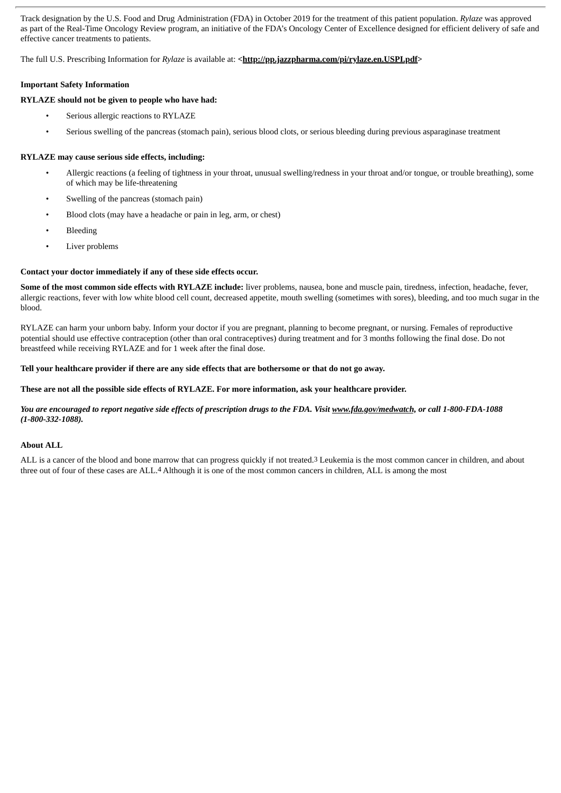Track designation by the U.S. Food and Drug Administration (FDA) in October 2019 for the treatment of this patient population. *Rylaze* was approved as part of the Real-Time Oncology Review program, an initiative of the FDA's Oncology Center of Excellence designed for efficient delivery of safe and effective cancer treatments to patients.

The full U.S. Prescribing Information for *Rylaze* is available at: <**http://pp.jazzpharma.com/pi/rylaze.en.USPI.pdf>** 

#### **Important Safety Information**

#### **RYLAZE should not be given to people who have had:**

- Serious allergic reactions to RYLAZE
- Serious swelling of the pancreas (stomach pain), serious blood clots, or serious bleeding during previous asparaginase treatment

#### **RYLAZE may cause serious side effects, including:**

- Allergic reactions (a feeling of tightness in your throat, unusual swelling/redness in your throat and/or tongue, or trouble breathing), some of which may be life-threatening
- Swelling of the pancreas (stomach pain)
- Blood clots (may have a headache or pain in leg, arm, or chest)
- **Bleeding**
- Liver problems

#### **Contact your doctor immediately if any of these side effects occur.**

**Some of the most common side effects with RYLAZE include:** liver problems, nausea, bone and muscle pain, tiredness, infection, headache, fever, allergic reactions, fever with low white blood cell count, decreased appetite, mouth swelling (sometimes with sores), bleeding, and too much sugar in the blood.

RYLAZE can harm your unborn baby. Inform your doctor if you are pregnant, planning to become pregnant, or nursing. Females of reproductive potential should use effective contraception (other than oral contraceptives) during treatment and for 3 months following the final dose. Do not breastfeed while receiving RYLAZE and for 1 week after the final dose.

#### Tell your healthcare provider if there are any side effects that are bothersome or that do not go away.

#### These are not all the possible side effects of RYLAZE. For more information, ask your healthcare provider.

#### You are encouraged to report negative side effects of prescription drugs to the FDA. Visit www.fda.gov/medwatch, or call 1-800-FDA-1088 *(1-800-332-1088).*

#### **About ALL**

ALL is a cancer of the blood and bone marrow that can progress quickly if not treated.3 Leukemia is the most common cancer in children, and about three out of four of these cases are ALL.4 Although it is one of the most common cancers in children, ALL is among the most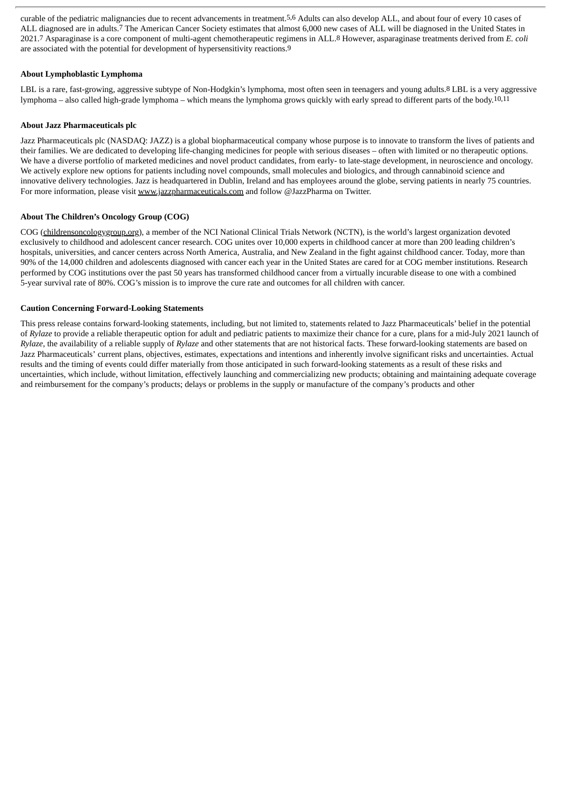curable of the pediatric malignancies due to recent advancements in treatment.5,6 Adults can also develop ALL, and about four of every 10 cases of ALL diagnosed are in adults.7 The American Cancer Society estimates that almost 6,000 new cases of ALL will be diagnosed in the United States in 2021.7 Asparaginase is a core component of multi-agent chemotherapeutic regimens in ALL.8 However, asparaginase treatments derived from *E. coli* are associated with the potential for development of hypersensitivity reactions.9

# **About Lymphoblastic Lymphoma**

LBL is a rare, fast-growing, aggressive subtype of Non-Hodgkin's lymphoma, most often seen in teenagers and young adults.<sup>8</sup> LBL is a very aggressive lymphoma – also called high-grade lymphoma – which means the lymphoma grows quickly with early spread to different parts of the body.10,11

# **About Jazz Pharmaceuticals plc**

Jazz Pharmaceuticals plc (NASDAQ: JAZZ) is a global biopharmaceutical company whose purpose is to innovate to transform the lives of patients and their families. We are dedicated to developing life-changing medicines for people with serious diseases – often with limited or no therapeutic options. We have a diverse portfolio of marketed medicines and novel product candidates, from early- to late-stage development, in neuroscience and oncology. We actively explore new options for patients including novel compounds, small molecules and biologics, and through cannabinoid science and innovative delivery technologies. Jazz is headquartered in Dublin, Ireland and has employees around the globe, serving patients in nearly 75 countries. For more information, please visit www.jazzpharmaceuticals.com and follow @JazzPharma on Twitter.

# **About The Children's Oncology Group (COG)**

COG (childrensoncologygroup.org), a member of the NCI National Clinical Trials Network (NCTN), is the world's largest organization devoted exclusively to childhood and adolescent cancer research. COG unites over 10,000 experts in childhood cancer at more than 200 leading children's hospitals, universities, and cancer centers across North America, Australia, and New Zealand in the fight against childhood cancer. Today, more than 90% of the 14,000 children and adolescents diagnosed with cancer each year in the United States are cared for at COG member institutions. Research performed by COG institutions over the past 50 years has transformed childhood cancer from a virtually incurable disease to one with a combined 5-year survival rate of 80%. COG's mission is to improve the cure rate and outcomes for all children with cancer.

#### **Caution Concerning Forward-Looking Statements**

This press release contains forward-looking statements, including, but not limited to, statements related to Jazz Pharmaceuticals' belief in the potential of *Rylaze* to provide a reliable therapeutic option for adult and pediatric patients to maximize their chance for a cure, plans for a mid-July 2021 launch of *Rylaze*, the availability of a reliable supply of *Rylaze* and other statements that are not historical facts. These forward-looking statements are based on Jazz Pharmaceuticals' current plans, objectives, estimates, expectations and intentions and inherently involve significant risks and uncertainties. Actual results and the timing of events could differ materially from those anticipated in such forward-looking statements as a result of these risks and uncertainties, which include, without limitation, effectively launching and commercializing new products; obtaining and maintaining adequate coverage and reimbursement for the company's products; delays or problems in the supply or manufacture of the company's products and other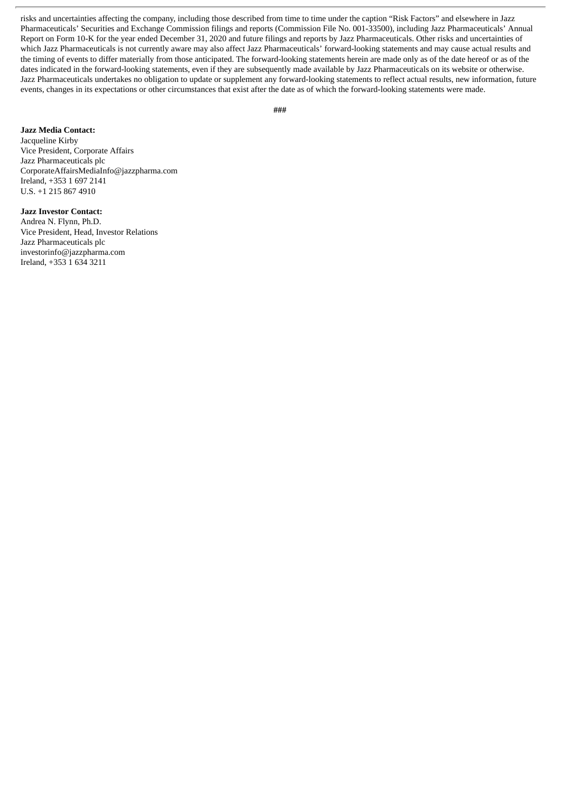risks and uncertainties affecting the company, including those described from time to time under the caption "Risk Factors" and elsewhere in Jazz Pharmaceuticals' Securities and Exchange Commission filings and reports (Commission File No. 001-33500), including Jazz Pharmaceuticals' Annual Report on Form 10-K for the year ended December 31, 2020 and future filings and reports by Jazz Pharmaceuticals. Other risks and uncertainties of which Jazz Pharmaceuticals is not currently aware may also affect Jazz Pharmaceuticals' forward-looking statements and may cause actual results and the timing of events to differ materially from those anticipated. The forward-looking statements herein are made only as of the date hereof or as of the dates indicated in the forward-looking statements, even if they are subsequently made available by Jazz Pharmaceuticals on its website or otherwise. Jazz Pharmaceuticals undertakes no obligation to update or supplement any forward-looking statements to reflect actual results, new information, future events, changes in its expectations or other circumstances that exist after the date as of which the forward-looking statements were made.

# **Jazz Media Contact:**

Jacqueline Kirby Vice President, Corporate Affairs Jazz Pharmaceuticals plc CorporateAffairsMediaInfo@jazzpharma.com Ireland, +353 1 697 2141 U.S. +1 215 867 4910

# **Jazz Investor Contact:**

Andrea N. Flynn, Ph.D. Vice President, Head, Investor Relations Jazz Pharmaceuticals plc investorinfo@jazzpharma.com Ireland, +353 1 634 3211